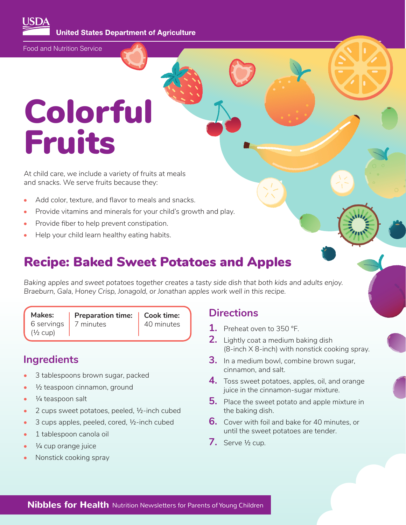**United States Department of Agriculture** 

Food and Nutrition Service

# Colorful Fruits

At child care, we include a variety of fruits at meals and snacks. We serve fruits because they:

- Add color, texture, and flavor to meals and snacks.
- Provide vitamins and minerals for your child's growth and play.
- Provide fiber to help prevent constipation.
- Help your child learn healthy eating habits.

### Recipe: Baked Sweet Potatoes and Apples

*Baking apples and sweet potatoes together creates a tasty side dish that both kids and adults enjoy. Braeburn, Gala, Honey Crisp, Jonagold, or Jonathan apples work well in this recipe.* 

|              | Makes:   Preparation time:   Cook time: |            |
|--------------|-----------------------------------------|------------|
|              | 6 servings $\vert$ 7 minutes            | 40 minutes |
| $(1/2)$ cup) |                                         |            |

#### **Ingredients**

- 3 tablespoons brown sugar, packed
- 1/2 teaspoon cinnamon, ground
- $\frac{1}{4}$  teaspoon salt
- 2 cups sweet potatoes, peeled, ½-inch cubed
- 3 cups apples, peeled, cored, 1/2-inch cubed
- 1 tablespoon canola oil
- $\frac{1}{4}$  cup orange juice
- Nonstick cooking spray

#### **Directions**

- **1.** Preheat oven to 350 °F.
- **2.** Lightly coat a medium baking dish (8-inch X 8-inch) with nonstick cooking spray.
- **3.** In a medium bowl, combine brown sugar, cinnamon, and salt.
- **4.** Toss sweet potatoes, apples, oil, and orange juice in the cinnamon-sugar mixture.
- **5.** Place the sweet potato and apple mixture in the baking dish.
- **6.** Cover with foil and bake for 40 minutes, or until the sweet potatoes are tender.
- **7.** Serve ½ cup.